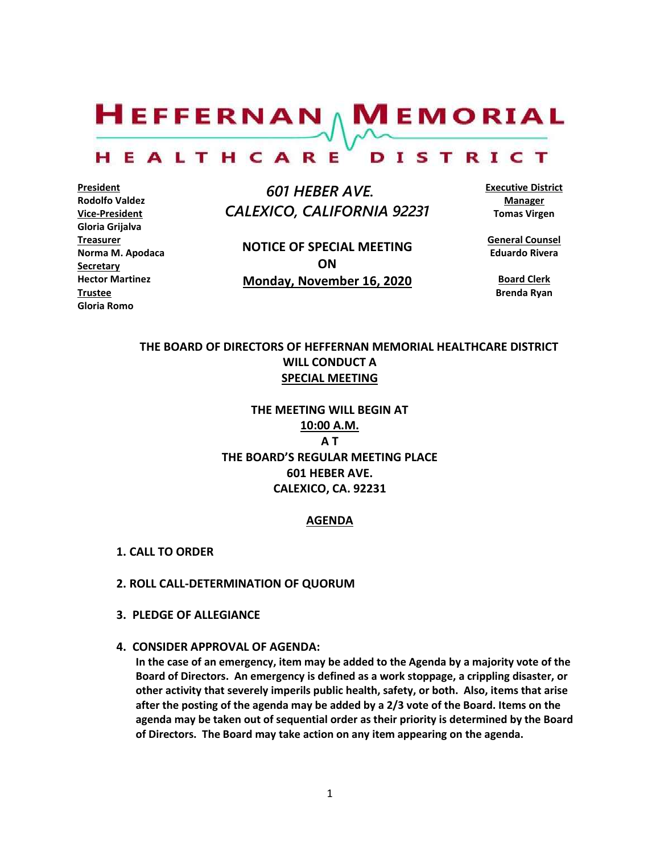$H$ EFFERNAN  $\wedge$  M EMORIAL HEALTHCARE DISTRICT

**President Rodolfo Valdez Vice-President Gloria Grijalva Treasurer Norma M. Apodaca Secretary Hector Martinez Trustee Gloria Romo**

 *601 HEBER AVE. CALEXICO, CALIFORNIA 92231*

**NOTICE OF SPECIAL MEETING ON Monday, November 16, 2020** **Executive District Manager Tomas Virgen**

**General Counsel Eduardo Rivera**

> **Board Clerk Brenda Ryan**

# **THE BOARD OF DIRECTORS OF HEFFERNAN MEMORIAL HEALTHCARE DISTRICT WILL CONDUCT A SPECIAL MEETING**

**THE MEETING WILL BEGIN AT 10:00 A.M. A T THE BOARD'S REGULAR MEETING PLACE 601 HEBER AVE. CALEXICO, CA. 92231**

## **AGENDA**

- **1. CALL TO ORDER**
- **2. ROLL CALL-DETERMINATION OF QUORUM**
- **3. PLEDGE OF ALLEGIANCE**
- **4. CONSIDER APPROVAL OF AGENDA:**

**In the case of an emergency, item may be added to the Agenda by a majority vote of the Board of Directors. An emergency is defined as a work stoppage, a crippling disaster, or other activity that severely imperils public health, safety, or both. Also, items that arise after the posting of the agenda may be added by a 2/3 vote of the Board. Items on the agenda may be taken out of sequential order as their priority is determined by the Board of Directors. The Board may take action on any item appearing on the agenda.**